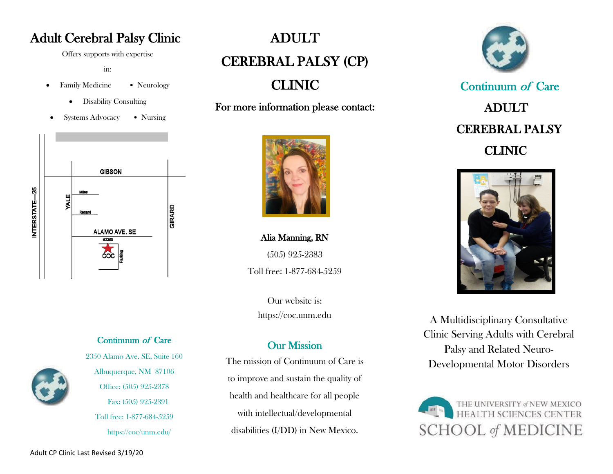# Adult Cerebral Palsy Clinic

Offers supports with expertise

in:

- Family Medicine Neurology
	- Disability Consulting
- Systems Advocacy Nursing



#### Continuum of Care



2350 Alamo Ave. SE, Suite 160 Albuquerque, NM 87106 Office: (505) 925-2378 Fax: (505) 925-2391 Toll free: 1-877-684-5259 https://coc/unm.edu/

# ADULT CEREBRAL PALSY (CP)

CLINIC

For more information please contact:



Alia Manning, RN (505) 925-2383 Toll free: 1-877-684-5259

Our website is: https://coc.unm.edu

## Our Mission

The mission of Continuum of Care is to improve and sustain the quality of health and healthcare for all people with intellectual/developmental disabilities (I/DD) in New Mexico.



 Continuum of Care ADULT CEREBRAL PALSY CLINIC



A Multidisciplinary Consultative Clinic Serving Adults with Cerebral Palsy and Related Neuro-Developmental Motor Disorders